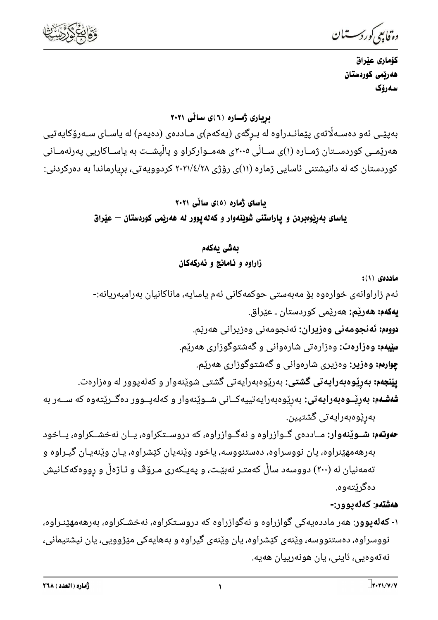

دە فابىي كوردسىتىان

كۆمارى عێراق هەربمى كوردستان سەرۆك

#### بریاری ژمساره (٦)ی سالّی ۲۰۲۱

بەپێـی ئەو دەسـﻪڵاتەی پێمانـﺪراوە لە بـﺮگەی (يەكەم)ی مـﺎددەی (دەيەم) لە ياسـﺎی سـﻪرۆكايەتيى هەرێمــی کوردســتان ژمــاره (۱)ی ســاڵی ۲۰۰۵ی هەمــوارکراو و پاڵپشــت به یاســاکاریی پەرلەمــانی کوردستان که له دانیشتنی ئاسایی ژماره (۱۱)ی رۆژی ۲۸/٤/۲۸ کردوویهتی، بریارماندا به دهرکردنی:

> باسای ژماره (٥)ی سالّی ۲۰۲۱ ياسای بهرێوهبردن و ياراستنی شوێنهوار و کهله يوور له ههرێمی کوردستان — عێراق

#### بەشى يەكەم

زاراوه و ئامانج و ئەركەكان

ماددهى (١):

ئەم زاراوانەي خوارەوە بۆ مەبەستى حوكمەكانى ئەم ياسايە، ماناكانيان بەرامبەريانە:-

**يەكەم: ھەرێم:** ھەرێمى كوردستان ـ عێراق.

**دووم: ئەنجومەنى وەزيران:** ئەنجومەنى وەزيرانى ھەرێم.

**سِیْیەم: وەزارەت:** وەزارەتی شارەوانی و گەشتوگوزاری ھەریّم.

**چوارهم: وهزیر:** وهزیری شارهوانی و گهشتوگوزاری ههریم.

**یێنجهم: بهرێوهبهرایهتی گشتی:** بهرێوهبهرایهتی گشتی شوێنهوار و کهلهپوور له وهزارهت.

**شەشـەم: بەرێــوەبەرايەتى:** بەرێوەبەرايەتييەكــانى شــوێنەوار و كەلەپــوور دەگــرێتەوە كە ســەر بە بەرێوەبەرايەتى گشتيين.

**حەوتەم: شــوێنەوار:** مــاددەی گــوازراوە و نەگــوازراوە، كە دروســتكراوە، يــان نەخشــكراوە، يــاخود بەرھەمھێنراوە، يان نووسراوە، دەستنووسە، ياخود وێنەيان كێشراوە، يـان وێنەيـان گيـراوە و تەمەنیان لە (۲۰۰) دووسەد سالْ كەمتـر نەبێـت، و پەيـكەرى مـرۆڤ و ئـاژەلْ و رووەكەكـانيش دەگرٽتەوە.

ھەشتەم: كەلەيوور:-

۱- **کهلهیوور**: ههر ماددهیهکی گوازراوه و نهگوازراوه که دروسـتکراوه، نهخشـکراوه، بهرههمهێنـراوه، نووسراوه، دەستنووسە، وێنەی کێشراوه، یان وێنەی گیراوه و بەھاپەکی مێژوویی، یان نیشتیمانی، نەتەوەيى، ئاينى، يان ھونەرييان ھەيە.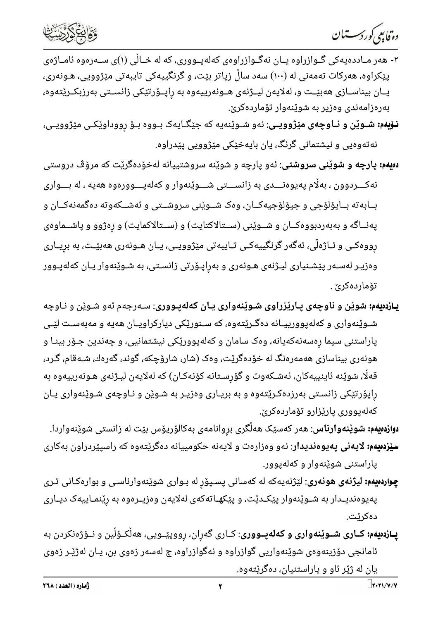دە فابىي كوردسىتىان

- ۲- هەر مــاددەيەكى گــوازراوە يــان نەگــوازراوەی كەلەيــووری، كە لە خــالّى (۱)ى ســەرەوە ئامــاژەی پێکراوه، هەرکات تەمەنی لە (١٠٠) سەد سالْ زياتر بێت، و گرنگييەکی تايبەتی مێژوويی، هـونەری، یــان بیناســازی هەبێــت و، لەلایەن لیــژنەی هــونەرییەوه بە راپــۆرتێکی زانســتی بەرزبکــرێتەوه، بەرەزامەندى وەزير بە شوێنەوار تۆماردەكرێ.
- **نـۆيەم: شـوێن و نـاوچەی مێژوویــ**ی: ئەو شـوێنەیە کە جێگـایەک بـووه بـۆ رووداوێکـی مێژوویـی، نهتهوهیی و نیشتمانی گرنگ، یان بایهخێکی مێژوویی یێدراوه.
- **دهیهم: یارچه و شوێنی سروشتی**: ئهو پارچه و شوێنه سروشتییانه لهخۆدهگرێت که مرۆڤ دروستی نهکـــردوون ، بهڵام پهیوهنــــدی به زانســــتی شــــوێنهوار و کهلهپــــوورهوه ههیه ، له بــــواری بــابه ته بــایۆلۆجی و جیۆلۆجیهکــان، وهک شــوێنی سروشــتی و ئهشــکهوته دهگمهنهکــان و پهنــاگه و بهبهردبووهکــان و شــوێنی (ســتالاکتایت) و (ســتالاکمایت) و رهژوو و پاشــماوهی رووهکــی و ئــاژەڵی، ئەگەر گرنگییەکــی تــایبەتی مێژوویــی، یــان هــونەری هەبێــت، به بڕیــاری وەزیـر لەسـەر پێشـنیاری لیـژنەی هـونەری و بەراپـۆرتی زانسـتی، به شـوێنەوار یـان کەلەپـوور تۆماردەكرىّ.
- **یـازدهیهم: شوێن و ناوچهی یـارێزراوی شـوێنهواری یـان کهلهیـووری**: سـهرجهم ئهو شـوێن و نـاوچه شـوێنهواری و کهلهپوورییـانه دهگـرێتهوه، که سـنورێکی دیارکراویـان ههیه و مهبهسـت لێـی پاراستنی سیما رەسەنەکەیانە، وەک سامان و کەلەپووری٘کی نیشتمانیی، و چەندین جـۆر بینـا و هونهری بیناسازی ههمهرهنگ له خۆدهگریْت، وهک (شار، شارۆچکه، گوند، گهرهك، شـهقام، گـرد، قەلّا، شوێنە ئاينييەكان، ئەشـكەوت و گۆرسـتانە كۆنەكـان) كە لەلايەن ليـژنەى ھـونەرييەوە بە راپۆرتێکی زانسـتی بهرزدهکـرێتهوه و به بریـاری وهزیـر به شـوێن و نـاوچهی شـوێنهواری یـان کەلەيوورى يارێزارو تۆماردەکرێ.

**دوازدهیهم: شوێنهوارناس**: ههر کهسێک ههڵگری بروانامهی بهکالۆریۆس بێت له زانستی شوێنهواردا. **سێزدهیهم: لایهنی یهیوهندیدار**: ئهو وهزارهت و لایهنه حکومییانه دهگریتهوه که راسیێردراون بهکاری یاراستنی شوێنهوار و کهلهیوور.

- **چِو<sub>ا</sub>ردهیهم: لیژنهی هونهری**: لێژنهیهکه له کهسانی پسـپۆرٍ له بـواری شوێنهوارناسـی و بوارهکـانی تـری پەيوەنديــدار بە شــوێنەوار پێکــدێت، و پێکهـاتەکەی لەلايەن وەزيــرەوە بە رێنمـاييەک ديــاری دەكرٽت.
- **پــازدەیەم: کــاری شــوێنەواری و کەلەپــووری**: کــاری گەران، رووپێــویی، هەڵکــۆڵین و نــۆژەنکردن بە ئامانجی دۆزینەوەی شوێنەواریی گوازراوه و نەگوازراوە، چ لەسەر زەوی بن، یـان لەژێـر زەوی یان له ژێر ئاو و پاراستنیان، دهگریتهوه.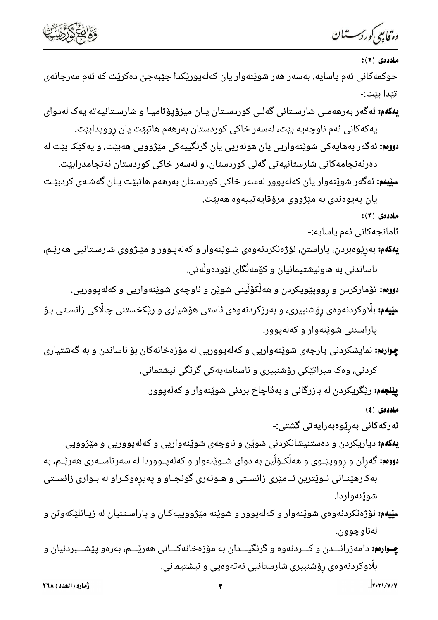

دە فابىي كوردسىتىان

ماددەي (٢):

حوکمهکانی ئەم ياسايە، بەسەر ھەر شوێنەوار يان کەلەيورێکدا جێبەجێ دەکرێت کە ئەم مەرجانەي تێدا بێت:-

**یهکهم:** ئەگەر بەرھەمـی شارسـتانی گەلـی کوردسـتان یـان میزۆپۆتامیـا و شارسـتانیەتە یەک لەدوای یەکەکانی ئەم ناوچەیە بێت، لەسەر خاکی کوردستان بەرھەم ھاتبێت یان روویدابێت.

<mark>دووم</mark>: ئەگەر بەھايەكى شوێنەواریى یان ھونەریى یان گرنگییەكى مێژوویى ھەبێت، و یەكێک بێت لە دەرئەنجامەكانى شارستانيەتى گەلى كوردستان، و لەسەر خاكى كوردستان ئەنجامدرابێت.

**سێیەم:** ئەگەر شوێنەوار یان کەلەپوور لەسەر خاکی کوردستان بەرھەم ھاتبێت یـان گەشـەی کردبێـت يان پەيوەندى بە مێژووى مرۆۋايەتييەوە ھەبێت.

 $:(\tau)$  ماددهی

ئامانجەكانى ئەم ياسايە:-

**یهکهم:** بهڕێوەبردن، پاراستن، نۆژەنکردنەوەی شـوێنەوار و کەلەپـوور و مێـژووی شارسـتانیی هەرێـم، ناساندنی به هاونیشتیمانیان و کۆمەڵگای نێودەوڵەتی.

**دووم:** تۆمارکردن و رووپێویکردن و هەڵکۆڵینی شوێن و ناوچەی شوێنەواریی و کەلەپووریی.

**سێیهم:** بڵاوکردنهوهی رۆشنبیری، و بهرزکردنهوهی ئاستی هۆشیاری و رێکخستنی چاڵاکی زانسـتی بـۆ

یاراستنی شوینهوار و کهلهیوور.

**چوارهم:** نمایشکردنی پارچهی شوێنهواریی و کهلهپووریی له مۆزەخانهکان بۆ ناساندن و به گەشتیاری

کردنی، وهک میراتیّکی رۆشنبیری و ناسنامهیهکی گرنگی نیشتمانی.

**ییّنجهم:** ریّگریکردن له بازرگانی و بهقاچاخ بردنی شویّنهوار و کهلهپوور.

ماددهى (٤)

ئەركەكانى بەرێوەبەرايەتى گشتى:-

**یهکهم:** دیاریکردن و دهستنیشانکردنی شوێن و ناوچهی شوێنهواریی و کهلهپووریی و مێژوویی. **دووم:** گەران و رووپێـوی و هەڵکـۆڵین به دوای شـوێنەوار و کەلەپـووردا له سەرتاسـەری هەرێـم، بە

بهکارهێنـانی نـوێترین ئـامێری زانسـتی و هـونهری گونجـاو و پهیرهوکـراو له بـواری زانسـتی شوێنەواردا.

**سێیهم:** نۆژەنکردنەوەی شوێنەوار و کەلەپوور و شوێنە مێژووییەکـان و پاراسـتنیان لە زیـانلێکەوتن و لەناوچوون.

**چــوارەم:** دامەزرانـــدن و کـــردنەوه و گرنگیـــدان به مۆزەخانەکـــانی هەرێـــم، بەرەو پێشـــبردنیان و بلاوکردنهوەی رۆشنبیری شارستانیی نەتەوەیی و نیشتیمانی.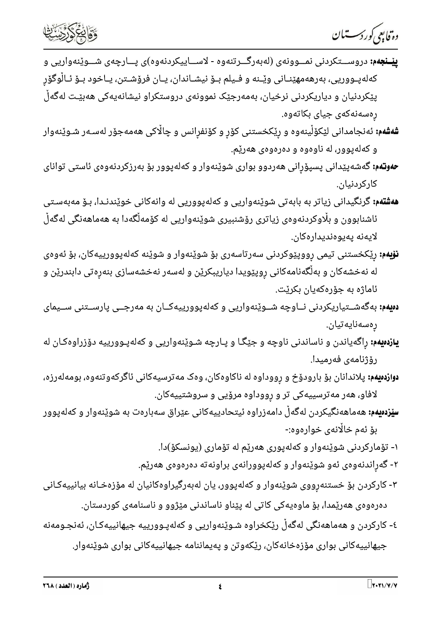



- **پێــنجهم:** دروســـتکردنی نمـــوونهی (لهبهرگـــرتنهوه لاســـاییکردنهوه)ی پـــارچهی شـــوێنهواریی و كەلەپـووريى، بەرھەمھێنــانى وێــنە و فــيلم بــۆ نيشــاندان، يــان فرۆشــتن، يــاخود بــۆ ئــاڵوگۆر پێکردنیان و دیاریکردنی نرخیان، بهمهرجێک نموونهی دروستکراو نیشانهیهکی ههبێـت لهگهڵ رەسەنەكەى جياى بكاتەوە.
- **شەشەم:** ئەنجامدانى لێکۆڵينەوە و رێکخستنى کۆر و کۆنفرانس و چاڵاکى ھەمەجۆر لەسـەر شـوێنەوار و کەلەيوور، لە ناوەوە و دەرەوەی ھەرێم.
- **حەوتەم:** گەشەپێدانى پسپۆرانى ھەردوو بوارى شوێنەوار و كەلەپوور بۆ بەرزكردنەوەى ئاستى تواناى کارکردنیان.
- **هەشتەم:** گرنگیدانی زیاتر به بابەتی شوێنەواریی و کەلەپووریی لە وانەکانی خوێندنـدا، بـۆ مەبەسـتی ئاشنابوون و بڵاوکردنهوەی زیاتری رۆشنبیری شوێنەواریی له کۆمەڵگەدا بە ھەماھەنگی لەگەڵ لايەنە يەيوەندىدارەكان.
- **نۆبەم:** رێکخستنی تیمی روویێوکردنی سەرتاسەری بۆ شوێنەوار و شوێنە کەلەپوورییەکان، بۆ ئەوەی له نهخشهکان و بهڵگەنامەکانی روپێویدا دیاریبکرێن و لەسەر نەخشەسازی بنەرەتی دابندرێن و ئاماژه به جۆرەكەيان بكرێت.
- **دهیهم:** بهگهشــتیاریکردنی نــاوچه شــوێنهواریی و کهلهپوورییهکــان به مهرجــی پارســتنی ســیمای رەسەنايەتيان.
- **یازدهیهم:** راگهیاندن و ناساندنی ناوچه و جێگـا و پـارچه شـوێنهواریی و کهلهپـوورییه دۆزراوهکـان له رۆژنامەي فەرميدا.
- **دوازدهیهم:** پلاندانان بۆ بارودۆخ و رووداوه له ناکاوهکان، وهک مەترسیەکانی ئاگرکەوتنەوه، بومەلەرزە، لافاو، هەر مەترسییەکی تر و رووداوه مرۆیی و سروشتییەکان.
- **سێزدەیەم:** ھەماھەنگیکردن لەگەڵ دامەزراوە ئیتحادییەکانی عێراق سەبارەت بە شوێنەوار و کەلەپوور بۆ ئەم خالانەي خوارەوە:-
	- ۱- تۆماركردنى شويْنەوار و كەلەيورى ھەريّم لە تۆمارى (يونسكۆ)دا.
	- ۲- گەراندنەوەی ئەو شوێنەوار و كەلەپوورانەی براونەتە دەرەوەی ھەرێم.
- ۳- کارکردن بۆ خستنەرووی شوێنەوار و کەلەپوور، یان لەبەرگیراوەکانیان لە مۆزەخـانە بیانییەکـانی دەرەوەی ھەرێمدا، بۆ ماوەيەكى كاتى لە پێناو ناساندنى مێژوو و ناسنامەی كوردستان.
- ٤- کارکردن و هەماهەنگی لەگەڵ رێکخراوه شـوێنەواریی و کەلەپـوورییە جیهانییەکـان، ئەنجـومەنە جیهانییهکانی بواری مۆزەخانەکان، ریکەوتن و پەیماننامە جیهانییەکانی بواری شوینەوار.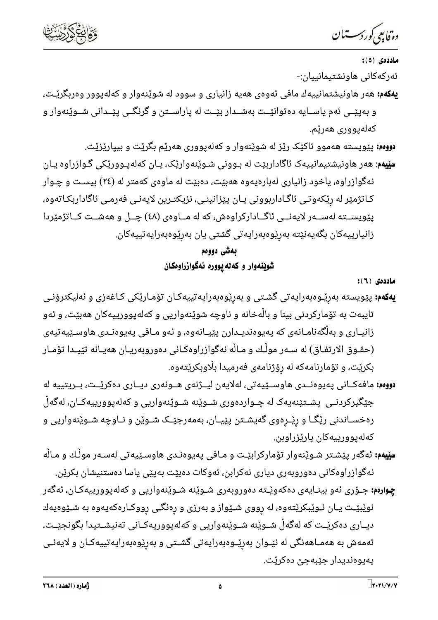# **یهکهم:** پێویسته بەرێـوەبەرایەتی گشـتی و بەرێوەبەرایەتییەکـان تۆمـارێکی کـاغەزی و ئەلیکترۆنـی تایبهت به تۆمارکردنی بینا و بالْهخانه و ناوچه شوێنهواریی و کهلهپوورییهکان ههبێت، و ئهو

- زانیـاری و بهڵگەنامـانەی کە پەيوەندیـدارن یێیـانەوە، و ئەو مـافی پەيوەنـدی ھاوسـێپەتيەی (حقـوق الارتفـاق) له سـهر مولّـك و مـالّه نهگوازراوهكـانى دهوروبهريـان ههيـانه تێيـدا تۆمـار بکریْت، و تۆمارنامەکە لە رۆژنامەی فەرمیدا بلّاوبکری٘تەوە. **دووم:** مافهکــانی پهیوهنــدی هاوســێیهتی، لهلایهن لیــژنهی هــونهری دیــاری دهکرێــت، بــریتییه له
- جێگیرکردنــی پشــتێنەیەک لە چــواردەوری شــوێنە شــوێنەواریی و کەلەپوورییەکـان، لەگەڵ رهخسـاندنی رێگـا و رێـْـرِهوی گەیشــتن پێیــان، بەمەرجێــک شــوێن و نــاوچه شــوێنەواریی و كەلەپوورييەكان پارێزراوبن.
- **سێیهم:** ئەگەر یێشـتر شـوێنەوار تۆمارکرابێـت و مـافی یەیوەنـدی هاوسـێیەتی لەسـەر موڵـك و مـاڵە نەگوازراوەكانى دەوروبەرى ديارى نەكرابن، ئەوكات دەبێت بەيێى ياسا دەستنيشان بكرێن.
- **چو<sub>ا</sub>رمم:** جـۆرى ئەو بينـايەى دەكەوێـتە دەوروبەرى شـوێنە شـوێنەواريى و كەلەپوورييەكـان، ئەگەر نوێبێـت یـان نـوێبکرێتەوه، له رووی شـێواز و بەرزی و رەنگـی رووکـارەکەیەوە بە شـێوەیەك دیــاری دەکرێــت که لەگەڵ شــوێنە شــوێنەواریی و کەلەپووریەکــانی تەنیشــتیدا بگونجێــت، ئەمەش بە ھەمـاھەنگى لە نێـوان بەرێـوەبەرايەتى گشـتى و بەرێوەبەرايەتييەكـان و لايەنـى يەيوەنديدار جێبەجىْ دەكرێت.

**یهکهم:** ههر هاونیشتمانییهك مافی ئهوهی ههیه زانیاری و سوود له شویّنهوار و کهلهپوور وهربگریّـت،

و بهپێــی ئهم یاســایه ده توانێــت بهشــدار بێــت له پاراســتن و گرنگــی پێــدانی شــوێنهوار و كەلەيوورى ھەرێم.

**دووم:** پێویسته ههموو تاکێک رێز له شوێنهوار و کهلهپووری ههرێم بگرێت و بیپارێزێت.

**سێیهم**: هەر هاونیشتیمانییەک ئاگاداربێت لە بـوونی شـوێنەوارێک، یـان کەلەپـوورێکی گـوازراوە یـان نهگوازراوه، یاخود زانیاری لهبارهیهوه ههبیّت، دهبیّت له ماوهی کهمتر له (٢٤) بیست و چـوار کـاتژمێر له رێکەوتـی ئاگـاداربوونی یـان پێزانینـی، نزیکتـرین لایەنـی فەرمـی ئاگاداربکـاتەوه، پێویســته لهســهر لایهنــی ئاگــادارکراوهش، که له مــاوهی (٤٨) چــل و ههشــت کــاتژمێردا زانیارییەکان بگەیەنێتە بەرێوەبەرایەتی گشتی یان بەرێوەبەرایەتییەکان.

> بەشى دووەم شوينهوار و كهله يووره نهگوازراوهكان

> > $: (7)$  ماددهی



ئەركەكانى ھاونشتيمانييان:-

ماددەى (٥):

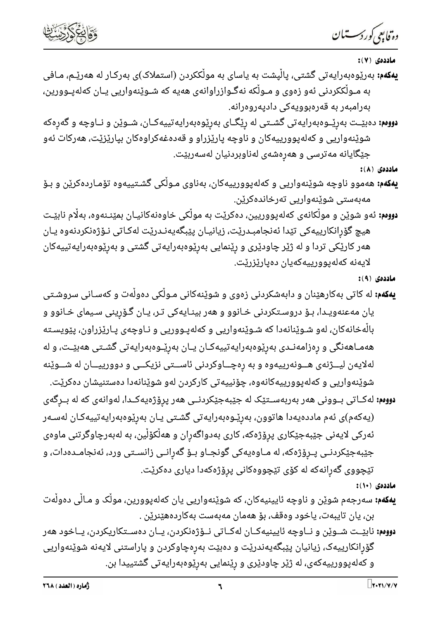دە قابىي كوردىستىلان



- **یهکهم:** بهریّوهبهرایه<code>تی گشتی، پالْپشت به یاسای به مولّککردن (استملاک)ی بهرکـار له ههریّـم، مـافی</sup></code> به مـولْککردنی ئهو زەوی و مـولْکه نهگـوازراوانەی هەيە که شـوێنەواریی یـان کەلەپـوورین، بەرامبەر بە قەرەبوويەكى داديەروەرانە.
- **دووم:** دهبێـت بهرێـوهبهرایه<code>تی گشـتی له رێگـای بهر</code>ێوهبهرایهتییهکـان، شـوێن و نــاوچه و گهرِهکه شوێنهواریی و کهلهپوورییهکان و ناوچه پارێزراو و قهدهغهکراوهکان بپارێزێت، ههرکات ئهو جێگایانه مەترسى و هەرەشەی لەناوبردنیان لەسەربێت.

ماددەى (٨):

- **یهکهم:** ههموو ناوچه شوێنهواریی و کهلهپوورییهکان، بهناوی مـولّکی گشـتییهوه تۆمـاردهکرێن و بـۆ مەبەستى شوێنەواريى تەرخاندەكرێن.
- **دووم:** ئەو شوێن و موڵکانەی کەلەيووريين، دەکرێت بە موڵکی خاوەنەکانيـان بمێنـنەوە، بەڵام نابێـت هیچ گۆرانکارییەکی تێدا ئەنجامبـدرێت، زیانیـان پێبگەیەنـدرێت لەکـاتی نـۆژەنکردنەوە یـان هەر کارێکی تردا و له ژێر چاودێری و رێنمایی بەرێوەبەرایەتی گشتی و بەرێوەبەرایەتییەکان لايەنە كەلەيوورىيەكەيان دەيارێزرێت.

 $(9)$  مادده $(9)$ 

- **یهکهم:** له کاتی بهکارهێنان و دابهشکردنی زهوی و شوێنهکانی مـوڵکی دهوڵهت و کهسـانی سروشـتی یان مەعنەویـدا، بـۆ دروسـتکردنی خـانوو و هەر بینـایەکی تـر، یـان گـۆرینی سـیمای خـانوو و بالْهخانهکان، لەو شـوێنانەدا کە شـوێنەواریی و کەلەپـووریی و نـاوچەی پـارێزراون، پێویسـته هەمـاهەنگى و رەزامەنـدى بەرێوەبەرايەتييەكـان يــان بەرێـوەبەرايەتى گشـتى هەبێـت، و لە لەلايەن لیـــژنەی هـــونەرییەوه و بە رەچـــاوکردنی ئاســـتی نزیکـــی و دوورییـــان له شـــوێنه شوێنەواریی و کەلەپوورییەکانەوە، چۆنییەتی کارکردن لەو شوێنانەدا دەستنیشان دەکرێت.
- **دووم:** لهکـاتی بــوونی ههر بهربهســتێک له جێبهجێکردنــی ههر پرِۆژەيهکــدا، لهوانهی که له بــرِگهی (يەكەم)ى ئەم ماددەيەدا ھاتوون، بەرێـوەبەرايەتى گشـتى يـان بەرێوەبەرايەتييەكـان لەسـەر ئەركى لايەنى جێبەجێكارى پرۆژەكە، كارى بەدواگەران و ھەڵكۆڵين، بە لەبەرچاوگرتنى ماوەى جێبەجێکردنـی پـرۆژەکە، لە مـاوەيەکی گونجـاو بـۆ گەرانـی زانسـتی ورد، ئەنجامـدەدات، و تێچووی گەڕانەکە لە کۆی تێچووەکانی پرٖۆژەکەدا دیاری دەکرێت.
	- ماددهى (١٠):
- **یهکهم:** سهرجهم شوێن و ناوچه ئایینیهکان، که شوێنهواریی یان کهلهپوورین، موڵک و مـاڵی دهوڵەت بن، يان تايبەت، ياخود وەقف، بۆ ھەمان مەبەست بەكاردەھێنرێن .
- **دووم؛** نابێــت شــوێن و نــاوچه ئايينيهکــان لهکــاتی نــۆژەنکردن، يــان دەســتکاريکردن، يــاخود هەر گۆرانکارییهک، زیانیان پێبگهیەندرێت و دەبێت بەرەچاوکردن و پاراستنی لایەنە شوێنەواریی و کەلەپوورييەکەی، لە ژێر چاودێری و رێنمایی بەرێوەبەرايەتی گشتییدا بن.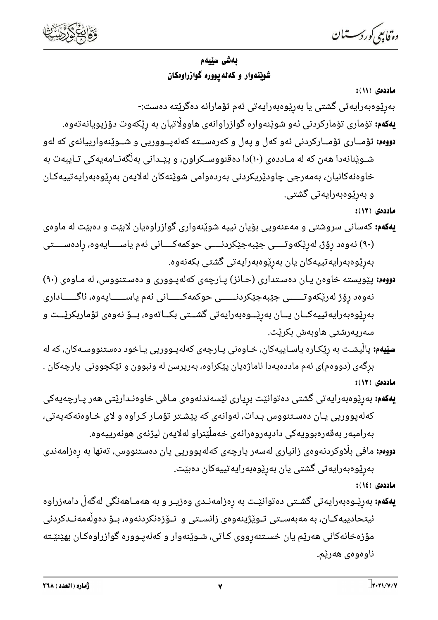



# بەشى سێيەم شوينهوار و كه له پووره گوازراوهكان

ماددهى (١١):

بەرێوەبەرايەتى گشتى يا بەرێوەبەرايەتى ئەم تۆمارانە دەگرێتە دەست:-**یهکهم:** تۆماری تۆمارکردنی ئەو شوێنەوارە گوازراوانەی هاووڵاتیان بە رێکەوت دۆزیویانەتەوە. **دووم:** تۆمــاری تۆمــارکردنی ئەو کەل و پەل و کەرەســتە کەلەپــووریی و شــوێنەوارییانەی کە لەو شــوێنانەدا ھەن كە لە مــاددەی (١٠)دا دەقنووســكراون، و پێــدانی بەڵگەنــامەيەكى تـايبەت بە خاوەنەكانيان، بەمەرجى چاودێريكردنى بەردەوامى شوێنەكان لەلايەن بەرێوەبەرايەتييەكـان و بەرێوەبەرايەتى گشتى.

ماددەى (١٢):

**یهکهم:** کهسانی سروشتی و مهعنهویی بۆیان نییه شوێنهواری گوازراوهیان لابێت و دهبێت له ماوهی (۹۰) نەوەد رۆژ، لەرێكەوتــــى جێبەجێكردنــــى حوكمەكــــانى ئەم ياســـــايەوە، رادەســــتى بەرێوەبەرايەتييەكان يان بەرێوەبەرايەتى گشتى بكەنەوە.

**دووم:** پێویسته خاوهن یـان دهسـتداری (حـائز) پـارچهی کهلهپـووری و دهسـتنووس، له مـاوهی (۹۰) نەوەد رۆژ لەرێکەوتــــــى جێبەجێکردنــــــى حوکمەکــــــانى ئەم ياســــــايەوە، ئاگــــــادارى بەرێوەبەرايەتييەكــان يـــان بەرێـــوەبەرايەتى گشـــتى بكــاتەوە، بـــۆ ئەوەى تۆماربكرێـــت و سەريەرشتى ھاوبەش بكرێت.

**سێیهم:** پاڵپشـت به رێکـاره یاسـاییهکان، خـاوهنی پـارچهی کهلهپـووریی یـاخود دهستنووسـهکان، که له برگەی (دووەم)ی ئەم ماددەيەدا ئاماژەيان پێکراوە، بەرپرسن لە ونبوون و تێکچوونی پارچەکان .

ماددەى (١٣):

**يەكەم:** بەرێوەبەرايەتى گشتى دەتوانێت برِيارى لێسەندنەوەى مـافى خاوەنـدارێتى ھەر پـارچەيەكى کهلهپووریی یان دهسـتنووس بـدات، لهوانهی که پێشـتر تۆمـار کـراوه و لای خـاوهنهکهیهتی، بەرامبەر بەقەرەبوويەكى داديەروەرانەى خەملّىنراو لەلايەن ليژنەى ھونەرپيەوە.

**دووم:** مافی بڵاوکردنهوەی زانیاری لەسەر پارچەی کەلەپووریی یان دەستنووس، تەنھا بە رەزامەندی بەرێوەبەرايەتى گشتى يان بەرێوەبەرايەتييەكان دەبێت.

ماددهى (١٤):

**یهکهم:** بهڕێـوهبهرایهتی گشـتی دهتوانێـت به رِهزامهنـدی وهزیـر و به ههمـاههنگی لهگهڵ دامهزراوه ئیتحادییهکـان، به مەبەســتی تـوێژینەوەی زانســتی و نــۆژەنکردنەوە، بــۆ دەوڵەمەنــدکردنی مۆزەخانەكانى ھەرێم يان خسـتنەرووى كـاتى، شـوێنەوار و كەلەپـوورە گوازراوەكـان بھێنێـتە ناوەوەي ھەرێم.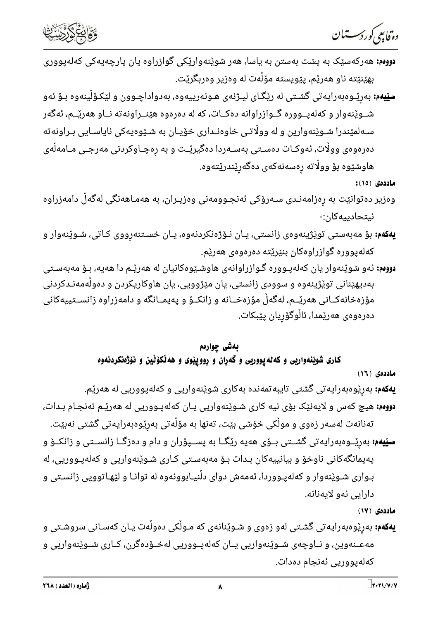دە فابىي كوردسىتىان



**دووم:** هەركەسێک بە پشت بەستن بە ياسا، هەر شوێنەوارێکی گوازراوە يان پارچەيەکی كەلەپووری بهێنێته ناو هەرێم، یێویسته مۆڵەت لە وەزیر وەربگرێت.

**سێیهم:** بهرێـوهبهرایه<code>تی گشـتی له رێگـای لیـژنهی هـونهرییهوه، بهدواداچـوون و لێکـۆڵینهوه بـۆ ئهو</code> شــوێنهوار و کهلهپــووره گــوازراوانه دهکــات، که له دهرهوه هێنــراونه ته نــاو ههرێــم، ئهگهر سـﻪﻟﻤێﻨﺪﺭﺍ ﺷـﻮێﻨﻪﻭﺍﺭﯾﻦ ﻭ ﻟﻪ ﻭﻭلَّاﺗـﻰ ﺧﺎﻭﻩﻧـﺪﺍﺭﻯ ﺧﯚﻳـﺎﻥ ﺑﻪ ﺷـێﻮﻩﻳﻪﮐﻰ ﻧﺎﻳﺎﺳـﺎﻳﻰ ﺑـﺮﺍﻭﻧﻪﺗﻪ دەرەوەی وولّات، ئەوكـات دەســتى بەســەردا دەگيرێــت و بە رەچــاوكردنى مەرجـى مــامەڵەی ھاوشێوە بۆ ووڵاتە رەسەنەكەى دەگەرێندرێتەوە.

ماددهى (١٥):

- وەزیر دەتوانێت بە رەزامەنـدی سـەرۆکی ئەنجـوومەنی وەزیـران، بە ھەمـاھەنگی لەگەڵ دامەزراوە ئیتحادییهکان:-
- **یهکهم:** بۆ مەبەستى توێژینەوەی زانستی، یـان نـۆژەنکردنەوە، یـان خسـتنەرووی کـاتی، شـوێنەوار و کەلەپوورە گوازراوەکان بنێرێتە دەرەوەی ھەرێم.
- **دووم:** ئەو شوێنەوار يان كەلەپـوورە گـوازراوانەی ھاوشـێوەكانيان لە ھەرێـم دا ھەيە، بـۆ مەبەسـتى بەدیهێنانی توێژینەوە و سوودی زانستی، یان مێژوویی، یان هاوکاریکردن و دەوڵەمەنـدکردنی مۆزەخانەكــانى ھەرێــم، لەگەڵ مۆزەخــانە و زانكــۆ و پەيمــانگە و دامەزراوە زانســتييەكانى دەرەوەى ھەرێمدا، ئالْوگۆريان پێبكات.

#### بەشى چوارەم

کاری شوێنهواریی و که له یووریی و گهړان و ړوویێوی و هه ٽکۆٽین و نۆژەنکردنهوه

ماددهى (١٦)

**یهکهم:** بهرێوهبهرایهتی گشتی تایبهتمهنده بهکاری شوێنهواریی و کهلهپووریی له ههرێم. <mark>دووم</mark>: هیچ کهس و لایهنێک بۆی نیه کاری شـوێنهواریی یـان کهلهپـووریی له ههرێـم ئهنجـام بـدات،

تەنانەت لەسەر زەوى و مولّكى خۆشى بێت، تەنھا بە مۆلّەتى بەرێوەبەرايەتى گشتى نەبێت. **سێیهم:** بهرێــوهبهرایه<code>تی گشــتی بــ</sup>ۆی ههیه رێگــا به پســپ</sup>ۆران و دام و دهزگــا زانســتی و زانکــۆ و</code>

پەيمانگەكانى ناوخۆ و بيانييەكان بـدات بـۆ مەبەسـتى كـارى شـوێنەواريى و كەلەپـووريى، لە بـواری شـوێنهوار و کهلهپـووردا، ئهمهش دوای دڵنیـابوونهوه له توانـا و لێهـاتوویی زانسـتی و دارايي ئەو لايەنانە.

ماددهی (۱۷)

**یهکهم:** بهرێوهبهرایهتی گشـتی لهو زهوی و شـوێنانهی که مـولٚکی دهولْهت یـان کهسـانی سروشـتی و مەعــنەوين، و نــاوچەی شــوێنەواریی یــان کەلەپــووریی لەخــۆدەگرن، کــاری شــوێنەواریی و كەلەپووريى ئەنجام دەدات.

 $\lambda$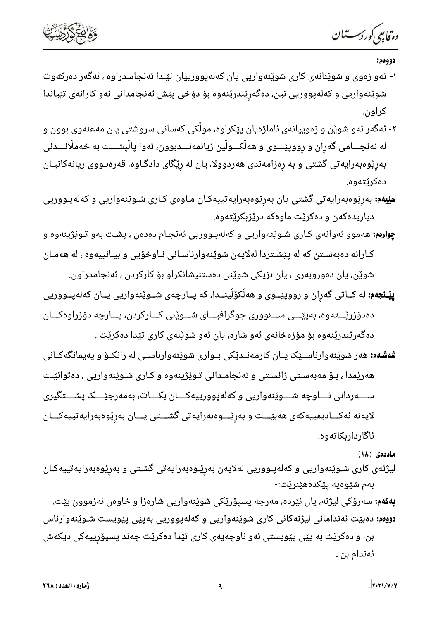وة فابعي كوردستيان



- ۱- ئەو زەوى و شوێنانەى كارى شوێنەواریى يان كەلەپوورییان تێـدا ئەنجامـدراوە ، ئەگەر دەركەوت شوێنەواریی و کەلەپووریی نین، دەگەرێندرێنەوە بۆ دۆخی پێش ئەنجامدانی ئەو کارانەی تێیاندا کراون.
- ۲- ئەگەر ئەو شوێن و زەوييانەى ئاماژەيان پێکراوە، موڵکى کەسانى سروشتى يان مەعنەوى بوون و له ئەنجـــامی گەران و رووپێـــوی و هەڵکـــوڵین زیانمەنـــدبوون، ئەوا پاڵپشـــت بە خەمڵانـــدنی بەرێوەبەرايەتى گشتى و بە رەزامەندى ھەردوولا، يان لە رێگاى دادگـاوە، قەرەبـووى زيانەكانيـان دەكرٽتەوە.
- **سێیهم:** بەرێوەبەرایەتی گشتی یان بەرێوەبەرایەتییەکـان مـاوەی کـاری شـوێنەواریی و کەلەپـووریی دیاریدهکەن و دەکریْت ماوەکە دری٘ژبکری٘تەوە.
- **چوارمم:** هەموو ئەوانەی کـاری شـوێنەواریی و کەلەپـووریی ئەنجـام دەدەن ، پشـت بەو تـوێژینەوە و کـارانه دهبهسـتن که له پێشـتردا لهلایهن شوێنهوارناسـانی نـاوخۆیی و بیـانییهوه ، له ههمـان شوێن، یان دەوروبەری ، یان نزیکی شوێنی دەستنیشانکراو بۆ کارکردن ، ئەنجامدراون.
- **ییّـنجهم:** له کــاتی گهران و رووپیّــوی و ههڵکۆڵینــدا، که پــارچهی شــویّنهواریی یــان کهلهپــووریی دەدۆزرێـــتەوە، بەپێـــی ســـنووری جوگرافیـــای شـــوێنی کـــارکردن، پـــارچە دۆزراوەکـــان دەگەرێندرێنەوە بۆ مۆزەخانەي ئەو شارە، يان ئەو شوێنەي كارى تێدا دەكرێت .
- **شەشەم:** هەر شوێنەوارناسـێک یــان کارمەنــدێکی بــواری شوێنەوارناســی لە زانکــۆ و پەیمانگەکــانی هەرێمدا ، بـۆ مەبەسـتى زانسـتى و ئەنجامـدانى تـوێژينەوە و كـارى شـوێنەواريى ، دەتوانێـت ســــەردانی نــــاوچه شــــوێنەواریی و کەلەپوورییەکــــان بکــــات، بەمەرجێــــک پشــــتگیری لايەنە ئەكـــاديمييەكەى ھەبێــــت و بەرێـــوەبەرايەتى گشـــتى يــــان بەرێوەبەرايەتييەكـــان ئاگارداربکاتەوە.

ماددەى (١٨)

لیژنەی کاری شـوێنەواریی و کەلەپـووریی لەلایەن بەرێـوەبەرایەتی گشـتی و بەرێوەبەرایەتییەکـان بەم شێوەيە يێػدەھێنرێت:-

**یهکهم:** سەرۆکی لیژنه، یان نێرده، مەرجە پسپۆرێکی شوێنەواریی شارەزا و خاوەن ئەزموون بێت. **دووم:** دەبێت ئەندامانی لیژنەکانی کاری شوێنەواریی و کەلەپووریی بەپێی پێویست شـوێنەوارناس

بن، و دەكرێت بە پێی پێویستی ئەو ناوچەیەی كاری تێدا دەكرێت چەند پسپۆرییەكی دیكەش ئەندام بن .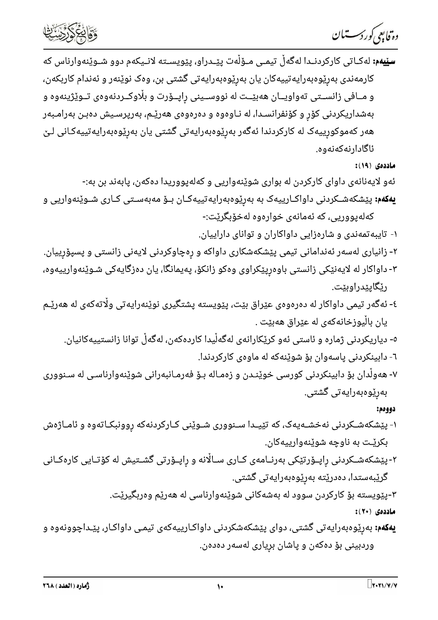



**سێيەم:** لەكـاتى كاركردنـﺪا لەگەڵ تيمـى مـۆڵەت پێـﺪراو، پێويسـتە لانـيكەم دوو شـوێنەوارناس كە کارمەندی بەرێوەبەرايەتييەکان يان بەرێوەبەرايەتی گشتی بن، وەک نوێنەر و ئەندام کاربکەن، و مــافی زانســتی تەواویــان هەبێــت لە نووســینی راپــۆرت و بڵاوکــردنەوەی تــوێژینەوە و بەشداریکردنی کۆر و کۆنفرانسـدا، لە نـاوەوە و دەرەوەی ھەرێـم، بەرپرسـیش دەبـن بەرامـبەر هەر كەموكورييەک لە كاركردندا ئەگەر بەرێوەبەرايەتى گشتى يان بەرێوەبەرايەتييەكـانى لـێ ئاگادارنەكەنەوە.

ماددەى (١٩):

دە قايېم كوردستىلان

ئەو لايەنانەی داوای کارکردن لە بواری شوێنەواریی و کەلەپووریدا دەکەن، پابەند بن بە:-**یهکهم:** پێشکهشـکردنی داواکـارییهک به بهرِێوهبهرایهتییهکـان بـۆ مەبەسـتی کـاری شـوێنهواریی و کەلەپووریی، کە ئەمانەی خوارەوە لەخۆبگرێت:-

۱- تایبهتمهندی و شارهزایی داواکاران و توانای داراییان.

- ۲- زانیاری لهسهر ئهندامانی تیمی پیْشکهشکاری داواکه و رِهچاوکردنی لایهنی زانستی و پسپۆرِییان.
- ۳- داواکار له لایهنێکی زانستی باوهرپێکراوی وهکو زانکۆ، پهیمانگا، یان دهزگایهکی شـوێنهوارییهوه، رێگایێدراوبێت.
- ٤- ئەگەر تيمى داواكار لە دەرەوەي عێراق بێت، پێویستە پشتگیری نوێنەراپەتی ولٚتەكەی لە ھەرێـم يان بالْيوزخانهكهى له عێراق هەبێت .
	- ٥- دیاریکردنی ژماره و ئاستی ئەو کرێکارانەی لەگەڵیدا کاردەکەن، لەگەڵ توانا زانستییەکانیان.
		- ٦- دابینکردنی پاسهوان بۆ شوێنهکه له ماوەی کارکردندا.
- ۷- هەولّدان بۆ دابینکردنی کورسی خوێنـدن و زەمـالە بـۆ فەرمـانبەرانی شوێنەوارناسـی لە سـنووری بەرێوەبەرايەتى گشتى.

دوومم:

- ۱- پێشکهشـکردنی نهخشـهیهک، که تێیـدا سـنووری شـوێنی کـارکردنهکه روونبکـاتهوه و ئامـاژهش بکریْت به ناوچه شویْنهوارییهکان.
- ۲- پیشکهشــکردنی راپــۆرتیکی بهرنــامهی کــاری ســالّانه و راپــۆرتی گشــتیش له کۆتــایی کارهکــانی گرێبەستدا، دەدرێتە بەرێوەبەرايەتى گشتى.

۳-پێویسته بۆ کارکردن سوود له بەشەکانی شوێنەوارناسی له هەرێم وەربگیرێت.

ماددەى (٢٠):

**یهکهم:** بهرێوهبهرایهتی گشتی، دوای پێشکهشکردنی داواکـارییهکهی تیمـی داواکـار، پێـداچوونهوه و وردبینی بۆ دەكەن و پاشان برياری لەسەر دەدەن.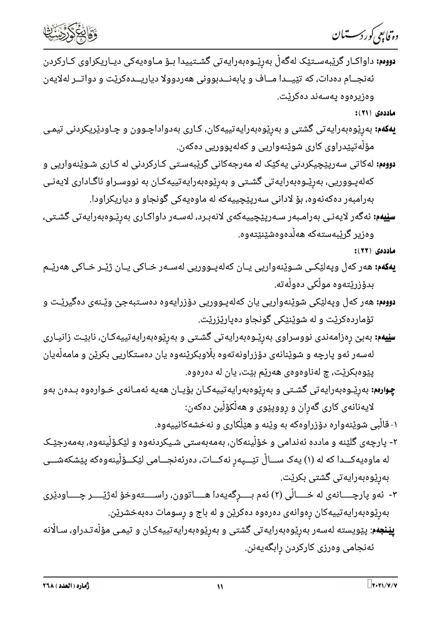



**دووم:** داواکـار گرێبەسـتێک لەگەڵ بەرێـوەبەرايەتی گشـتییدا بـۆ مـاوەیەکی دیـاریکراوی کـارکردن ئەنجــام دەدات، كە تێيـــدا مــاف و پابەنــدبوونى ھەردوولا دياريـــدەكرێت و دواتــر لەلايەن وەزيرەوە يەسەند دەكرێت.

ماددەى (٢١):

- **یهکهم:** بهرِیْوەبەرایەتی گشتی و بەرِیْوەبەرایەتییەکان، کـاری بەدواداچـوون و چـاودیْریکردنی تیمـی مۆڵەتپێدراوى كارى شوێنەواریى و كەلەپووریى دەكەن.
- **دووم:** لهکاتی سهرپێچیکردنی یهکێک له مهرجهکانی گرێبهسـتی کـارکردنی له کـاری شـوێنهواریی و کەلەپـووریی، بەرێـوەبەرايەتی گشـتی و بەرێوەبەرايەتییەکـان بە نووسـراو ئاگـاداری لایەنـی بهرامبهر دهکهنهوه، بۆ لادانی سهرپێچییهکه له ماوهیهکی گونجاو و دیاریکراودا.
- **سێیهم:** ئەگەر لایەنـی بەرامـبەر سـەرپێچییەکەی لانەبـرد، لەسـەر داواکـاری بەرێـوەبەرایەتی گشـتی، وەزير گرێبەستەكە ھەڵدەوەشێنێتەوە.

ماددەى (٢٢):

- **یەکەم:** ھەر کەل وپەلێکـی شـوێنەواریی یـان کەلەپـووریی لەسـەر خـاکی یـان ژێـر خـاکی ھەرێـم بدۆزرێتەوە مولّکى دەولّەتە.
- **دووم:** هەر كەل وپەلێكى شوێنەواریى یان كەلەپـووریى دۆزرایەوە دەسـتبەجێ وێـنەی دەگیرێـت و تۆماردەكريْت و لە شويْنێكى گونجاو دەپارێزرێت.
- **سێیهم:** بهبیّ رهزامهندی نووسراوی بهرێـوهبهرایه<code>تی گشـتی و بهرێوهبهرایه</code>تییهکـان، نابێـت زانیـاری لەسەر ئەو پارچە و شوێنانەی دۆزراونەتەوە بڵاوبکرێنەوە يان دەستکاریی بکرێن و مامەڵەيان پێوەبکرێت، چ لەناوەوەی ھەرێم بێت، یان لە دەرەوە.
- **چو<sub>ا</sub>رەم:** بەرێـوەبەرايەتى گشـتى و بەرێوەبەرايەتييەكـان بۆيـان ھەيە ئەمـانەى خـوارەوە بـدەن بەو لایەنانەی کاری گەران و رووپێوی و ھەڵکۆڵین دەکەن:

۱- قالْبی شوێنەوارە دۆزراوەکە بە وێنە و هێڵکاری و نەخشەکانییەوە.

- ۲- پارچەی گلێنە و ماددە ئەندامی و خۆڵینەکان، بەمەبەستی شـیکردنەوە و لێکۆڵینەوە، بەمەرجێـک له ماوەيەكـــدا كە لە (١) يەك ســـاڵ تێــــپەر نەكـــات، دەرئەنجـــامى لێكـــۆڵينەوەكە پێشكەشـــى بەرێوەبەرايەتى گشتى بكرێت.
- ۳- ئەو پارچـــــانەى لە خـــــاڵى (۲) ئەم بـــــرگەيەدا ھـــــاتوون، راســـــتەوخۆ لەژێـــــر چـــــاودێرى بەرێوەبەرايەتييەكان رِەوانەی دەرەوە دەكرێن و لە باج و رِسومات دەبەخشرێن.
- **پیّنجهم**: پیّویسته لهسهر بهرِیّوهبهرایهتی گشتی و بهرِیّوهبهرایهتییهکـان و تیمـی مۆڵەتـدراو، سـالٚانه ئەنجامى وەرزى كاركردن رابگەيەنن.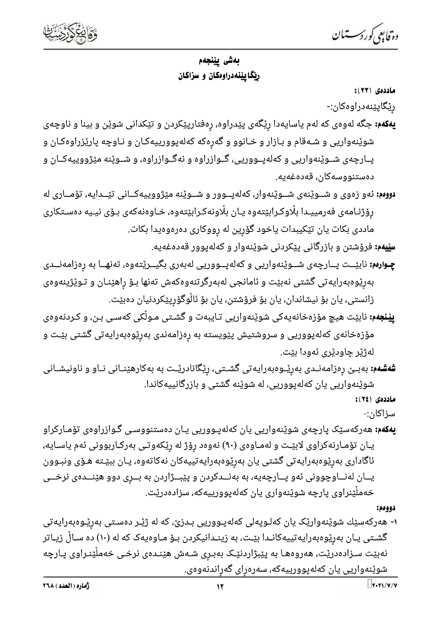

—<br>—

رێگاپێنەدراوەكان:-

- **<sup>وو</sup>ّا** *إلى كوركست***الن**<br>ب**اشي پيّنجده مستور بيري المالي المالي بي بي المالي المالي المالي المالي المالي المالي بيري المالي المالي المالي<br>المالي المالي المالي المالي المالي المالي المالي المالي المالي المالي المالي المالي یهکهم:** جگه لهوهی که لهم یاسایهدا ریّگهی پیّدراوه، رهفتارپی٘کردن و تی٘کدانی شوی٘ن و بینا و ناوچهی شوێنهواریی و شـهقام و بـازار و خـانوو و گهرِهکه کهلهپوورییهکـان و نـاوچه پارێزراوهکـان و پــارچهی شــوێنهواریی و کهلهپــووریی، گــوازراوه و نهگــوازراوه، و شــوێنه مێژووییهکــان و دەستنووسەكان، قەدەغەيە. رنگاپیّنەدراوەکان:-<br>**بنگاپیّن**هدراوەکان:-<br>**بهکمه:** جگه لهوهى که لهم یاسایەدا ریّگهى پیّدراوه، رِهفتارپیرکردن و تیّکدانى شویْن و بینا و ناوچهى<br>شهر: بنگاپیچارچهى شوی این می از از و خانوو و گەرەتكە کەلەپوورییەکـان و نـاوچه پ
- رِوْژنـامەی فەرمییـدا بڵاوكـرابێتەوە یـان بڵاونەكـرابێتەوە، خـاوەنەكەی بـۆی نیـیە دەسـتكاری ماددی بکات یان تێکیبدات یاخود گۆرین له رووکاری دەرەوەیدا بکات.

س**ِیّیهم:** فرۆشتن و بازرگانی پیّکردنی شویْنهوار و کهلهپوور قهدهغهیه.

- چـ**وارهم:** نابێــت پــارچەی شــوێنەواریی و کەلەپــووریی لەبەری بگیــرێتەوە، تەنهــا بە رەزامەنــدی بەرێوەبەرايەتى گشتى نەبێت و ئامانجى لەبەرگرتنەوەكەش تەنھا بـۆ راھێنـان و تـوێژينەوەى زانستى، يان بۆ نيشاندان، يان بۆ فرۆشتن، يان بۆ ئالْوگۆرپێكردنيان دەبێت.
- **ییّنجهم:** نابیّت هیچ مۆزەخانەیەکی شویّنەواریی تـایبەت و گشـتی مـولّکی کەسـی بـن، و کـردنەوەی مۆزەخانەى كەلەپووريى و سروشتيش پێويستە بە رەزامەندى بەرێوەبەرايەتى گشتى بێـت و لەژێر چاودێرى ئەودا بێت.
- **شەشەم:** بەبـێ رەزامەنـدى بەرێـوەبەرايەتى گشـتى، رێگانادرێـت بە بەكارھێنـانى نـاو و ناونيشـانى شویْنەواریی یان کەلەپووریی، لە شویْنە گشتی و بازرگانییەکاندا.

 $(15)(12)$ ماددهی

سزاکان:-

**یهکهم:** هەرکەسێک پارچەی شوێنەواریی یان کەلەپـووریی یـان دەستنووسـی گـوازراوەی تۆمـارکراو یـان تۆمـارنهکراوی لابێـت و لهمـاوەی (۹۰) نهوەد رۆژ له رێکەوتـی بهرکـاربوونی ئهم یاسـایه، ئاگاداری بەرێوەبەرايەتی گشتی يان بەرێوەبەرايەتييەكان نەكاتەوە، يـان ببێـتە ھـۆی ونبـوون یــان لهنــاوچوونی ئهو پــارچهیه، به بهنــدکردن و پێبــژاردن به بــرِی دوو هێنــدهی نرخـــی خەملْيْنراوى پارچە شويْنەوارى يان كەلەپوورييەكە، سزادەدريّت. سزاکان:-<br>**یهکمم:** هەرکەسێک پارچەی شوێ<br>یــان تۆمــارنهکراوی لابێــت<br>یـــان لهنـــاوچوونی ئەو پــ<br>خەملٚێنراوی پارچە شوێنه<br>**- هەرکەس**ێك شوێنەوارێک یان<br>گشــتی یــان بەرپۆوەبەرايەتييە<br>نەبێت سـزادەدرێت، هەروەهــ<br>شوێنەواریی یان

<mark>۱-</mark> هەركەسێك شوێنەوارێک يان كەلـوپەلى كەلەپـووريى بـدزێ، كە لە ژێـر دەسـتى بەرێـوەبەرايەتى گشـتی یـان بهرێوهبهرایهتییهکانـدا بێـت، به زینـدانیکردن بـۆ مـاوهیهک که له (۱۰) ده سـاڵ زیـاتر نەبێت سـزادەدرێت، ھەروەھـا بە پێبژاردنێـک بەبـرى شـەش ھێنـدەی نرخـی خەملٚێنـراوی پـارچە شوێنەواریی یان کەلەپوورییەکە، سەرەرای گەراندنەوەی.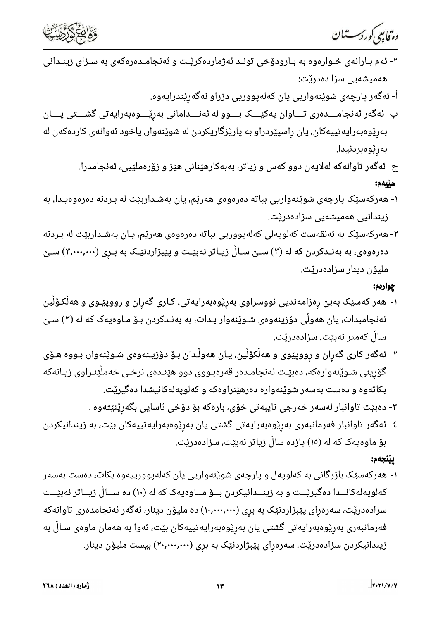



- ۲- ئەم بـارانەی خـوارەوە بە بـارودۆخی تونـد ئەژماردەكرێـت و ئەنجامـدەرەكەی بە سـزای زینـدانی هەميشەيى سزا دەدرێت:-أ- ئەگەر پارچەی شوێنەواریی یان كەلەپووریی دزراو نەگەرێندرایەوە.
- ب- ئەگەر ئەنجامــــدەرى تـــاوان يەكێــــک بــــوو لە ئەنــــدامانى بەرێــــوەبەرايەتى گشـــتى يــــان بەرێوەبەرايەتييەكان، يان راسپێردراو بە پارێزگاريكردن لە شوێنەوار، ياخود ئەوانەی كاردەكەن لە بەرێوەبردنيدا.
	- ج- ئەگەر تاوانەكە لەلايەن دوو كەس و زياتر، بەبەكارھێنانى ھێز و زۆرەملێيى، ئەنجامدرا. سٽنهم:
- ۱- هەركەسێک پارچەی شوێنەواریی بباتە دەرەوەی هەرێم، یان بەشـداربێت لە بـردنە دەرەوەیـدا، بە زیندانیی هەمیشەیی سزادەدریت.
- ۲- هەركەسێک بە ئەنقەست كەلوپەلى كەلەپووریى بباتە دەرەوەى ھەرێم، يـان بەشـداربێت لە بـردنە دهرهوهی، به بهنـدکردن که له (۳) سـێ سـاڵ زیـاتر نهبێـت و پێبژاردنێـک به بـرِی (۳٫۰۰۰٫۰۰۰) سـێ مليۆن دينار سزادەدرێت.

### چوارەم:

- ۱- هەر كەسێک بەبێ رەزامەندیی نووسراوی بەرێوەبەرایەتی، کـاری گەران و رووپێـوی و هەڵکـۆڵین ئەنجامبدات، یان ھەوڵی دۆزینەوەی شـوێنەوار بـدات، بە بەنـدکردن بـۆ مـاوەیەک کە لە (۳) سـێ سالْ كەمتر نەبێت، سزادەدرێت.
- ۲- ئەگەر كارى گەران و رووپێوى و ھەڵكۆڵين، يـان ھەوڵـدان بـۆ دۆزيـنەوەى شـوێنەوار، بـووە ھـۆى گۆرینی شـوێنەوارەكە، دەبێـت ئەنجامـدەر قەرەبـووی دوو ھێنـدەی نرخـی خەملٚێنـراوی زیـانەكە بکاتهوه و دهست بهسهر شوێنهواره دهرهێنراوهکه و کهلویهلهکانیشدا دهگیرێت.
	- ۳- دەبێت تاوانبار لەسەر خەرجى تايبەتى خۆي، بارەكە بۆ دۆخى ئاسايى بگەرێنێتەوە .
- ٤- ئەگەر تاوانبار فەرمانبەرى بەرێوەبەرايەتى گشتى يان بەرێوەبەرايەتييەكان بێت، بە زيندانيكردن بۆ ماوەيەک کە لە (١٥) پازدە ساڵ زياتر نەبێت، سزادەدرێت.

## ييْنجەم:

۱- هەركەسێک بازرگانی بە كەلوپەل و پارچەی شوێنەواریی یان كەلەپوورییەوە بكات، دەست بەسەر کهلوپهلهکانــدا دهگیریّــت و به زینــدانیکردن بــۆ مــاوهیهک که له (۱۰) ده ســالْ زیــاتر نهبیّــت سزادهدریت، سهرهرای پیْبژاردنیْک به بری (۱۰٫۰۰۰٫۰۰۰) ده ملیوْن دینار، ئهگهر ئهنجامدهری تاوانهکه فەرمانبەرى بەرێوەبەرايەتى گشتى يان بەرێوەبەرايەتييەكان بێت، ئەوا بە ھەمان ماوەى سـاڵ بە زیندانیکردن سزادهدریّت، سهرهرِای پیّبژاردنیّک به برِی (۲۰٫۰۰۰٫۰۰۰) بیست ملیوّن دینار.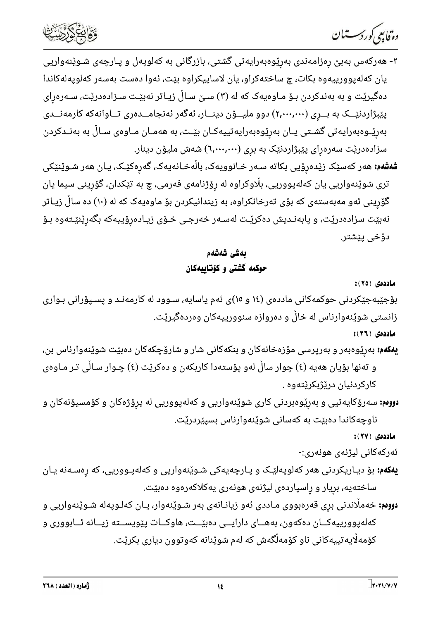



۲- هەركەس بەبىٚ رەزامەندى بەرێوەبەرايەتى گشتى، بازرگانى بە كەلوپەل و پـارچەى شـوێنەواريى یان کەلەپوورییەوە بکات، چ ساختەکراو، یان لاساییکراوە بێت، ئەوا دەست بەسەر کەلوپەلەکاندا دهگیریّت و به بهندکردن بـۆ مـاوهیهک که له (۳) سـێ سـاڵ زیـاتر نهبیّـت سـزادهدریّت، سـهرهرای پێبژاردنێــک به بــرِی (۲٫۰۰۰٫۰۰۰) دوو ملیـــۆن دینــار، ئەگەر ئەنجامـــدەری تــاوانەکە کارمەنـــدی بەرێـوەبەرايەتى گشـتى يـان بەرێوەبەرايەتييەكـان بێـت، بە ھەمـان مـاوەى سـاڵ بە بەنـﺪكردن سزادهدریْت سەرەرای پی٘بژاردنیٚک بە برِی (٦,٠٠٠,٠٠٠) شەش ملیۆن دینار.

**شەشەم:** ھەر كەسێک زێدەرۆیی بکاتە سـەر خـانوویەک، باڵەخـانەیەک، گەرەكێـک، یـان ھەر شـوێنێکی تری شوێنەواریی یان کەلەپووریی، بڵاوکراوە لە رۆژنامەی فەرمی، چ بە تێکدان، گۆرِینی سیما یان گۆرینی ئەو مەبەستەی کە بۆی تەرخانکراوە، بە زیندانیکردن بۆ ماوەیەک کە لە (١٠) دە ساڵ زیـاتر نەبێت سزادەدرێت، و پابەنـدیش دەکرێـت لەسـەر خەرجـی خـۆی زیـادەروٚییەکە بگەرێنێـتەوە بـۆ دۆخى يێشتر.

# بەشى شەشەم حوكمه گشتی و كۆتاييەكان

ماددەى (٢٥):

بۆجێبەجێکردنی حوکمەکانی ماددەی (١٤ و ١٥)ی ئەم ياسايە، سـوود لە کارمەنـد و پسـپۆرانی بـواری زانستی شوێنهوارناس له خاڵ و دەروازه سنوورییهکان وەردەگیرێت.

- ماددەى (٢٦):
- **یهکهم:** بهرِیْوهبهر و بهرپرسی مۆزەخانەکان و بنکەکانی شار و شارۆچکەکان دەبیّت شوی٘نەوارناس بن، و تەنھا بۆيان ھەيە (٤) چوار ساڵ لەو پۆستەدا كاربكەن و دەكرێت (٤) چـوار سـاڵى تـر مـاوەى کارکردنیان درێژبکرێتەوە .
- <mark>دووم:</mark> سەرۆکايەتيى و بەرێوەبردنى کارى شوێنەواريى و کەلەپووريى لە پرۆژەکان و کۆمسيۆنەکان و ناوچەکاندا دەبێت بە کەسانى شوێنەوارناس بسپێردرێت.

ماددهى (٢٧):

ئەركەكانى ليژنەى ھونەرى:-

- **یهکهم:** بۆ دیـاریکردنی ههر کهلوپهلێـک و پـارچهیهکی شـوێنهواریی و کهلهپـووریی، که رەسـەنه یـان ساختەيە، بريار و راسپاردەی ليژنەی ھونەری يەكلاكەرەوە دەبێت.
- **دووم،:** خەملّاندنى برى قەرەبووى مـاددى ئەو زيانـانەى بەر شـوێنەوار، يـان كەلـوپەلە شـوێنەواريى و کەلەپوورييەکــان دەکەون، بەھــاى دارايـــى دەبێـــت، ھاوکــات پێويســتە زيــانە ئــابوورى و کۆمەلّايەتييەکانى ناو کۆمەلّگەش کە لەم شوێنانە کەوتوون ديارى بکرێت.